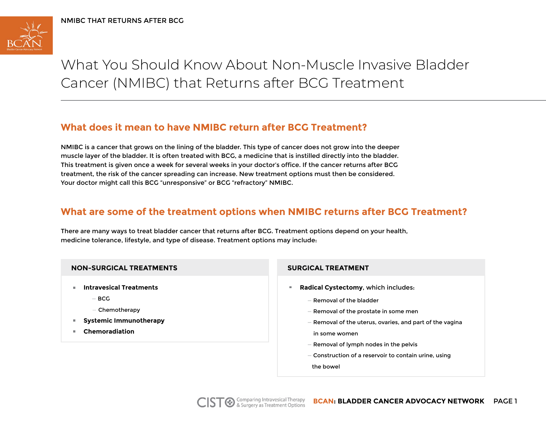

What You Should Know About Non-Muscle Invasive Bladder Cancer (NMIBC) that Returns after BCG Treatment

# **What does it mean to have NMIBC return after BCG Treatment?**

NMIBC is a cancer that grows on the lining of the bladder. This type of cancer does not grow into the deeper muscle layer of the bladder. It is often treated with BCG, a medicine that is instilled directly into the bladder. This treatment is given once a week for several weeks in your doctor's office. If the cancer returns after BCG treatment, the risk of the cancer spreading can increase. New treatment options must then be considered. Your doctor might call this BCG "unresponsive" or BCG "refractory" NMIBC.

## **What are some of the treatment options when NMIBC returns after BCG Treatment?**

There are many ways to treat bladder cancer that returns after BCG. Treatment options depend on your health, medicine tolerance, lifestyle, and type of disease. Treatment options may include:

- **Intravesical Treatments** 
	- **—** BCG
	- Chemotherapy
- **Systemic Immunotherapy**
- **Chemoradiation**  $\mathbf{m}$  .

# **NON-SURGICAL TREATMENTS SURGICAL TREATMENT**  $\mathbf{u}$ **Radical Cystectomy**, which includes: **—** Removal of the bladder **—** Removal of the prostate in some men **—** Removal of the uterus, ovaries, and part of the vagina in some women **—** Removal of lymph nodes in the pelvis **—** Construction of a reservoir to contain urine, using the bowel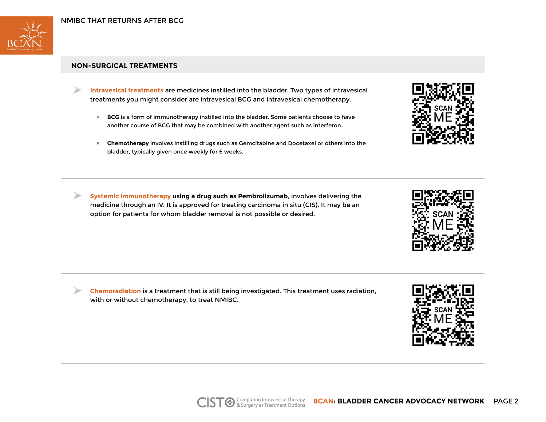

### **NON-SURGICAL TREATMENTS**

- **Intravesical treatments** are medicines instilled into the bladder. Two types of intravesical treatments you might consider are intravesical BCG and intravesical chemotherapy.
	- $\mathbb{R}^n$ **BCG** is a form of immunotherapy instilled into the bladder. Some patients choose to have another course of BCG that may be combined with another agent such as interferon.
	- **Chemotherapy** involves instilling drugs such as Gemcitabine and Docetaxel or others into the bladder, typically given once weekly for 6 weeks.
- **Systemic immunotherapy using a drug such as Pembrolizumab**, involves delivering the medicine through an IV. It is approved for treating carcinoma in situ (CIS). It may be an option for patients for whom bladder removal is not possible or desired.

**Chemoradiation** is a treatment that is still being investigated. This treatment uses radiation, with or without chemotherapy, to treat NMIBC.





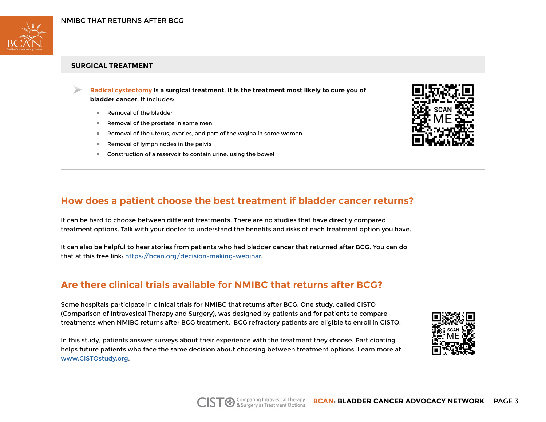

### **SURGICAL TREATMENT**

**Radical cystectomy is a surgical treatment. It is the treatment most likely to cure you of bladder cancer.** It includes:

- **Removal of the bladder**
- Removal of the prostate in some men **ILL CAR**
- Removal of the uterus, ovaries, and part of the vagina in some women  $\mathbf{H}$  .
- Removal of lymph nodes in the pelvis  $\mathbb{R}^{n-1}$
- Construction of a reservoir to contain urine, using the bowel



## **How does a patient choose the best treatment if bladder cancer returns?**

It can be hard to choose between different treatments. There are no studies that have directly compared treatment options. Talk with your doctor to understand the benefits and risks of each treatment option you have.

It can also be helpful to hear stories from patients who had bladder cancer that returned after BCG. You can do that at this free link: https://bcan.org/decision-making-webinar.

# **Are there clinical trials available for NMIBC that returns after BCG?**

Some hospitals participate in clinical trials for NMIBC that returns after BCG. One study, called CISTO (Comparison of Intravesical Therapy and Surgery), was designed by patients and for patients to compare treatments when NMIBC returns after BCG treatment. BCG refractory patients are eligible to enroll in CISTO.

In this study, patients answer surveys about their experience with the treatment they choose. Participating helps future patients who face the same decision about choosing between treatment options. Learn more at www.CISTOstudy.org.